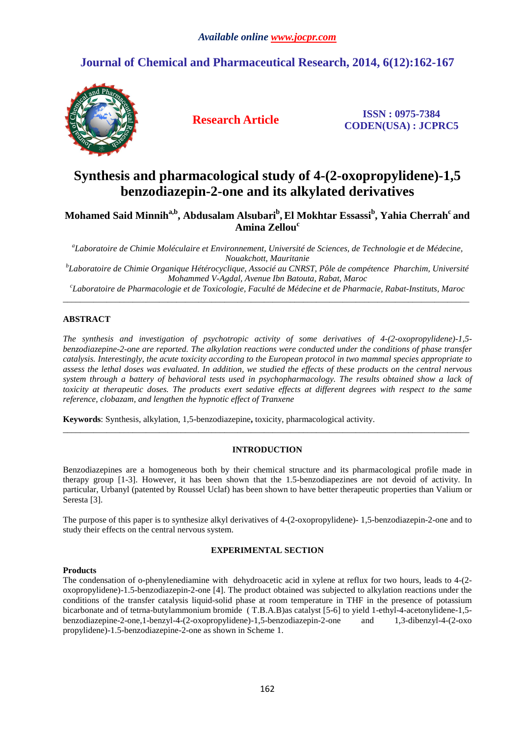# **Journal of Chemical and Pharmaceutical Research, 2014, 6(12):162-167**



**Research Article ISSN : 0975-7384 CODEN(USA) : JCPRC5**

# **Synthesis and pharmacological study of 4-(2-oxopropylidene)-1,5 benzodiazepin-2-one and its alkylated derivatives**

**Mohamed Said Minniha,b, Abdusalam Alsubari<sup>b</sup> , El Mokhtar Essassi<sup>b</sup> , Yahia Cherrah<sup>c</sup>and Amina Zellou<sup>c</sup>**

*a Laboratoire de Chimie Moléculaire et Environnement, Université de Sciences, de Technologie et de Médecine, Nouakchott, Mauritanie* 

*b Laboratoire de Chimie Organique Hétérocyclique, Associé au CNRST, Pôle de compétence Pharchim, Université Mohammed V-Agdal, Avenue Ibn Batouta, Rabat, Maroc* 

*c Laboratoire de Pharmacologie et de Toxicologie, Faculté de Médecine et de Pharmacie, Rabat-Instituts, Maroc*  \_\_\_\_\_\_\_\_\_\_\_\_\_\_\_\_\_\_\_\_\_\_\_\_\_\_\_\_\_\_\_\_\_\_\_\_\_\_\_\_\_\_\_\_\_\_\_\_\_\_\_\_\_\_\_\_\_\_\_\_\_\_\_\_\_\_\_\_\_\_\_\_\_\_\_\_\_\_\_\_\_\_\_\_\_\_\_\_\_\_\_\_\_

# **ABSTRACT**

*The synthesis and investigation of psychotropic activity of some derivatives of 4-(2-oxopropylidene)-1,5 benzodiazepine-2-one are reported. The alkylation reactions were conducted under the conditions of phase transfer catalysis. Interestingly, the acute toxicity according to the European protocol in two mammal species appropriate to assess the lethal doses was evaluated. In addition, we studied the effects of these products on the central nervous system through a battery of behavioral tests used in psychopharmacology. The results obtained show a lack of toxicity at therapeutic doses. The products exert sedative effects at different degrees with respect to the same reference, clobazam, and lengthen the hypnotic effect of Tranxene*

**Keywords**: Synthesis, alkylation, 1,5-benzodiazepine**,** toxicity, pharmacological activity.

# **INTRODUCTION**

\_\_\_\_\_\_\_\_\_\_\_\_\_\_\_\_\_\_\_\_\_\_\_\_\_\_\_\_\_\_\_\_\_\_\_\_\_\_\_\_\_\_\_\_\_\_\_\_\_\_\_\_\_\_\_\_\_\_\_\_\_\_\_\_\_\_\_\_\_\_\_\_\_\_\_\_\_\_\_\_\_\_\_\_\_\_\_\_\_\_\_\_\_

Benzodiazepines are a homogeneous both by their chemical structure and its pharmacological profile made in therapy group [1-3]. However, it has been shown that the 1.5-benzodiapezines are not devoid of activity. In particular, Urbanyl (patented by Roussel Uclaf) has been shown to have better therapeutic properties than Valium or Seresta [3].

The purpose of this paper is to synthesize alkyl derivatives of 4-(2-oxopropylidene)- 1,5-benzodiazepin-2-one and to study their effects on the central nervous system.

## **EXPERIMENTAL SECTION**

## **Products**

The condensation of o-phenylenediamine with dehydroacetic acid in xylene at reflux for two hours, leads to 4-(2 oxopropylidene)-1.5-benzodiazepin-2-one [4]. The product obtained was subjected to alkylation reactions under the conditions of the transfer catalysis liquid-solid phase at room temperature in THF in the presence of potassium bicarbonate and of tetrna-butylammonium bromide ( T.B.A.B)as catalyst [5-6] to yield 1-ethyl-4-acetonylidene-1,5 benzodiazepine-2-one,1-benzyl-4-(2-oxopropylidene)-1,5-benzodiazepin-2-one and 1,3-dibenzyl-4-(2-oxo propylidene)-1.5-benzodiazepine-2-one as shown in Scheme 1.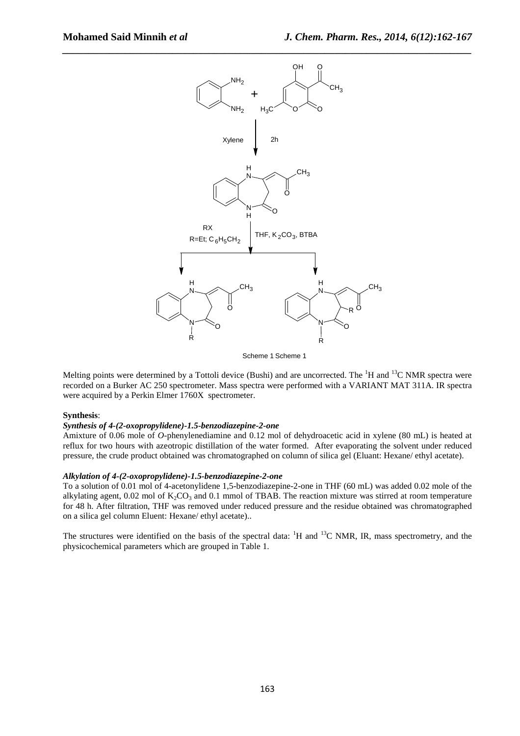

*\_\_\_\_\_\_\_\_\_\_\_\_\_\_\_\_\_\_\_\_\_\_\_\_\_\_\_\_\_\_\_\_\_\_\_\_\_\_\_\_\_\_\_\_\_\_\_\_\_\_\_\_\_\_\_\_\_\_\_\_\_\_\_\_\_\_\_\_\_\_\_\_\_\_\_\_\_\_*

Scheme 1 Scheme 1

Melting points were determined by a Tottoli device (Bushi) and are uncorrected. The  ${}^{1}H$  and  ${}^{13}C$  NMR spectra were recorded on a Burker AC 250 spectrometer. Mass spectra were performed with a VARIANT MAT 311A. IR spectra were acquired by a Perkin Elmer 1760X spectrometer.

## **Synthesis**:

#### *Synthesis of 4-(2-oxopropylidene)-1.5-benzodiazepine-2-one*

Amixture of 0.06 mole of *O-*phenylenediamine and 0.12 mol of dehydroacetic acid in xylene (80 mL) is heated at reflux for two hours with azeotropic distillation of the water formed. After evaporating the solvent under reduced pressure, the crude product obtained was chromatographed on column of silica gel (Eluant: Hexane/ ethyl acetate).

## *Alkylation of 4-(2-oxopropylidene)-1.5-benzodiazepine-2-one*

To a solution of 0.01 mol of 4-acetonylidene 1,5-benzodiazepine-2-one in THF (60 mL) was added 0.02 mole of the alkylating agent,  $0.02$  mol of  $K_2CO_3$  and  $0.1$  mmol of TBAB. The reaction mixture was stirred at room temperature for 48 h. After filtration, THF was removed under reduced pressure and the residue obtained was chromatographed on a silica gel column Eluent: Hexane/ ethyl acetate)..

The structures were identified on the basis of the spectral data:  ${}^{1}H$  and  ${}^{13}C$  NMR, IR, mass spectrometry, and the physicochemical parameters which are grouped in Table 1.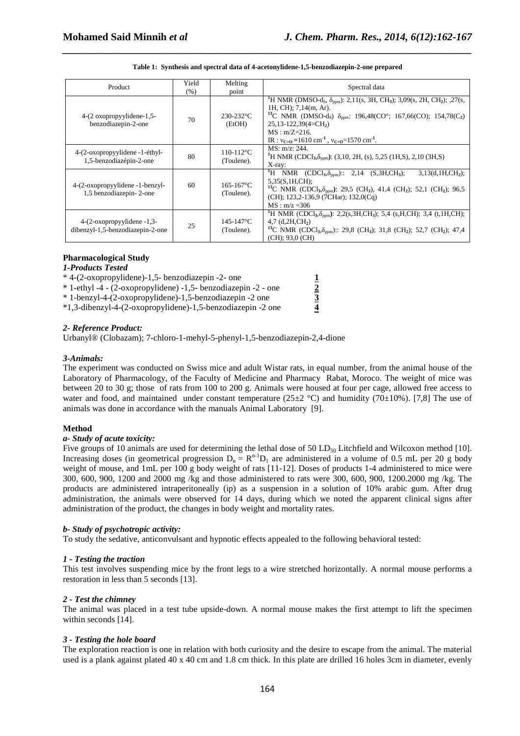| Product                                                           | Yield<br>(% )                      | Melting<br>point             | Spectral data                                                                                                                                                                                                                                                                                                                                                                                                                  |
|-------------------------------------------------------------------|------------------------------------|------------------------------|--------------------------------------------------------------------------------------------------------------------------------------------------------------------------------------------------------------------------------------------------------------------------------------------------------------------------------------------------------------------------------------------------------------------------------|
| 4-(2 oxopropyylidene-1,5-<br>benzodiazepin-2-one                  | 70                                 | $230 - 232$ °C<br>(EtOH)     | <sup>1</sup> H NMR (DMSO-d <sub>6</sub> , $\delta_{\text{norm}}$ ): 2,11(s, 3H, CH <sub>3</sub> ); 3,09(s, 2H, CH <sub>2</sub> ); 27(s,<br>$1H, CH$ ; 7,14 $(m, Ar)$ .<br><sup>13</sup> C NMR (DMSO-d <sub>6</sub> ) $\delta_{ppm}$ : 196,48(CO <sup>o</sup> ; 167,66(CO); 154,78(C <sub>2</sub> )<br>$25,13-122,39(4=CH2)$<br>$MS : m/Z = 216.$<br>IR : $v_{C=0}$ =1610 cm <sup>-1</sup> , $v_{C=0}$ =1570 cm <sup>-1</sup> . |
| 4-(2-oxopropyylidene -1-éthyl-<br>1,5-benzodiazépin-2-one         | 80                                 | $110 - 112$ °C<br>(Toulene). | MS: m/z: 244<br><sup>1</sup> H NMR (CDCl <sub>3</sub> , $\delta_{ppm}$ ): (3,10, 2H, (s), 5,25 (1H,S), 2,10 (3H,S)<br>$X$ -ray:                                                                                                                                                                                                                                                                                                |
| 4-(2-oxopropyylidene -1-benzyl-<br>1,5 benzodiazepin-2-one        | 60<br>$165 - 167$ °C<br>(Toulene). |                              | <sup>1</sup> H NMR (CDCl <sub>3</sub> , $\delta_{\text{ppm}}$ ):: 2,14 (S,3H,CH <sub>3</sub> );<br>3,13(d,1H,CH <sub>2</sub> );<br>5,35(S,1H,CH);<br><sup>13</sup> C NMR (CDCl <sub>3</sub> , $\delta_{\text{pom}}$ ): 29,5 (CH <sub>3</sub> ), 41,4 (CH <sub>2</sub> ); 52,1 (CH <sub>2</sub> ); 96,5<br>(CH); 123,2-136,9 (7CHar); 132,0(Cq)<br>$MS : m/z = 306$                                                             |
| $4-(2$ -oxopropyylidene -1,3-<br>dibenzyl-1,5-benzodiazepin-2-one | 25                                 | $145 - 147$ °C<br>(Toulene). | <sup>1</sup> H NMR (CDCl <sub>3</sub> , $\delta_{ppm}$ ): 2,2(s,3H,CH <sub>3</sub> ); 5,4 (s,H,CH); 3,4 (t,1H,CH);<br>$4,7$ (d, $2H,CH2$ )<br><sup>13</sup> C NMR (CDCl <sub>3</sub> , $\delta_{ppm}$ ):: 29,8 (CH <sub>3</sub> ); 31,8 (CH <sub>2</sub> ); 52,7 (CH <sub>2</sub> ); 47,4<br>(CH); 93,0 (CH)                                                                                                                   |

## **Table 1: Synthesis and spectral data of 4-acetonylidene-1,5-benzodiazepin-2-one prepared**

*\_\_\_\_\_\_\_\_\_\_\_\_\_\_\_\_\_\_\_\_\_\_\_\_\_\_\_\_\_\_\_\_\_\_\_\_\_\_\_\_\_\_\_\_\_\_\_\_\_\_\_\_\_\_\_\_\_\_\_\_\_\_\_\_\_\_\_\_\_\_\_\_\_\_\_\_\_\_*

## **Pharmacological Study**

## *1-Products Tested*

- 
- \* 1-ethyl -4 (2-oxopropylidene) -1,5- benzodiazepin -2 one **2**
- \* 1-benzyl-4-(2-oxopropylidene)-1,5-benzodiazepin -2 one **3**
- $*$  4-(2-oxopropylidene)-1,5- benzodiazepin -2- one  $*$  1-ethyl -4 (2-oxopropylidene) -1,5- benzodiazepin -2 one  $*$  1-benzyl-4-(2-oxopropylidene)-1,5-benzodiazepin -2 one  $*$  1,3-dibenzyl-4-(2-oxopropylidene)-1,5-ben \*1,3-dibenzyl-4-(2-oxopropylidene)-1,5-benzodiazepin -2 one **4**

# *2- Reference Product:*

Urbanyl® (Clobazam); 7-chloro-1-mehyl-5-phenyl-1,5-benzodiazepin-2,4-dione

## *3-Animals:*

The experiment was conducted on Swiss mice and adult Wistar rats, in equal number, from the animal house of the Laboratory of Pharmacology, of the Faculty of Medicine and Pharmacy Rabat, Moroco. The weight of mice was between 20 to 30 g; those of rats from 100 to 200 g. Animals were housed at four per cage, allowed free access to water and food, and maintained under constant temperature ( $25\pm2$  °C) and humidity ( $70\pm10\%$ ). [7,8] The use of animals was done in accordance with the manuals Animal Laboratory [9].

## **Method**

## *a- Study of acute toxicity:*

Five groups of 10 animals are used for determining the lethal dose of 50 LD<sub>50</sub> Litchfield and Wilcoxon method [10]. Increasing doses (in geometrical progression  $D_n = R^{n-1}D_1$  are administered in a volume of 0.5 mL per 20 g body weight of mouse, and 1mL per 100 g body weight of rats [11-12]. Doses of products 1-4 administered to mice were 300, 600, 900, 1200 and 2000 mg /kg and those administered to rats were 300, 600, 900, 1200.2000 mg /kg. The products are administered intraperitoneally (ip) as a suspension in a solution of 10% arabic gum. After drug administration, the animals were observed for 14 days, during which we noted the apparent clinical signs after administration of the product, the changes in body weight and mortality rates.

## *b- Study of psychotropic activity:*

To study the sedative, anticonvulsant and hypnotic effects appealed to the following behavioral tested:

## *1 - Testing the traction*

This test involves suspending mice by the front legs to a wire stretched horizontally. A normal mouse performs a restoration in less than 5 seconds [13].

## *2 - Test the chimney*

The animal was placed in a test tube upside-down. A normal mouse makes the first attempt to lift the specimen within seconds [14].

## *3 - Testing the hole board*

The exploration reaction is one in relation with both curiosity and the desire to escape from the animal. The material used is a plank against plated 40 x 40 cm and 1.8 cm thick. In this plate are drilled 16 holes 3cm in diameter, evenly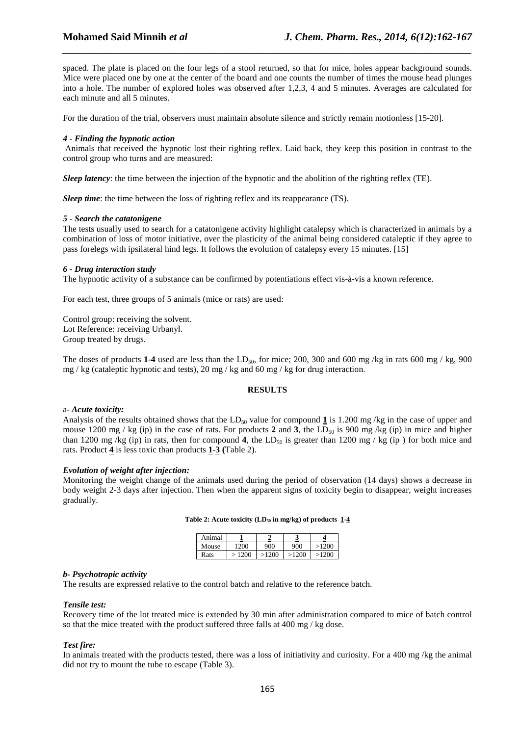spaced. The plate is placed on the four legs of a stool returned, so that for mice, holes appear background sounds. Mice were placed one by one at the center of the board and one counts the number of times the mouse head plunges into a hole. The number of explored holes was observed after 1,2,3, 4 and 5 minutes. Averages are calculated for each minute and all 5 minutes.

*\_\_\_\_\_\_\_\_\_\_\_\_\_\_\_\_\_\_\_\_\_\_\_\_\_\_\_\_\_\_\_\_\_\_\_\_\_\_\_\_\_\_\_\_\_\_\_\_\_\_\_\_\_\_\_\_\_\_\_\_\_\_\_\_\_\_\_\_\_\_\_\_\_\_\_\_\_\_*

For the duration of the trial, observers must maintain absolute silence and strictly remain motionless [15-20].

#### *4 - Finding the hypnotic action*

Animals that received the hypnotic lost their righting reflex. Laid back, they keep this position in contrast to the control group who turns and are measured:

*Sleep latency*: the time between the injection of the hypnotic and the abolition of the righting reflex (TE).

*Sleep time*: the time between the loss of righting reflex and its reappearance (TS).

#### *5 - Search the catatonigene*

The tests usually used to search for a catatonigene activity highlight catalepsy which is characterized in animals by a combination of loss of motor initiative, over the plasticity of the animal being considered cataleptic if they agree to pass forelegs with ipsilateral hind legs. It follows the evolution of catalepsy every 15 minutes. [15]

### *6 - Drug interaction study*

The hypnotic activity of a substance can be confirmed by potentiations effect vis-à-vis a known reference.

For each test, three groups of 5 animals (mice or rats) are used:

Control group: receiving the solvent. Lot Reference: receiving Urbanyl. Group treated by drugs.

The doses of products 1-4 used are less than the  $LD_{50}$ , for mice; 200, 300 and 600 mg/kg in rats 600 mg/kg, 900 mg / kg (cataleptic hypnotic and tests), 20 mg / kg and 60 mg / kg for drug interaction.

## **RESULTS**

#### a- *Acute toxicity:*

Analysis of the results obtained shows that the  $LD_{50}$  value for compound  $\bf{1}$  is 1.200 mg /kg in the case of upper and mouse 1200 mg / kg (ip) in the case of rats. For products  $\frac{2}{3}$  and  $\frac{3}{3}$ , the LD<sub>50</sub> is 900 mg /kg (ip) in mice and higher than 1200 mg /kg (ip) in rats, then for compound **4**, the LD<sub>50</sub> is greater than 1200 mg /kg (ip) for both mice and rats. Product **4** is less toxic than products **1**-**3 (**Table 2).

#### *Evolution of weight after injection:*

Monitoring the weight change of the animals used during the period of observation (14 days) shows a decrease in body weight 2-3 days after injection. Then when the apparent signs of toxicity begin to disappear, weight increases gradually.

| Table 2: Acute toxicity (LD <sub>50</sub> in mg/kg) of products 1-4 |  |  |
|---------------------------------------------------------------------|--|--|
|---------------------------------------------------------------------|--|--|

| Animal |       |       |       |       |
|--------|-------|-------|-------|-------|
| Mouse  | 1200  | 900   | 900   | >1200 |
| Rats   | >1200 | >1200 | >1200 | >1200 |

## *b- Psychotropic activity*

The results are expressed relative to the control batch and relative to the reference batch.

#### *Tensile test:*

Recovery time of the lot treated mice is extended by 30 min after administration compared to mice of batch control so that the mice treated with the product suffered three falls at 400 mg / kg dose.

#### *Test fire:*

In animals treated with the products tested, there was a loss of initiativity and curiosity. For a 400 mg/kg the animal did not try to mount the tube to escape (Table 3).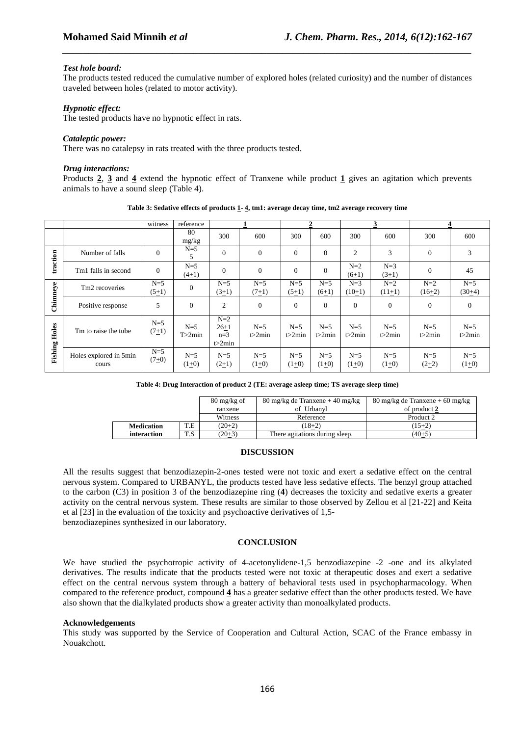### *Test hole board:*

The products tested reduced the cumulative number of explored holes (related curiosity) and the number of distances traveled between holes (related to motor activity).

*\_\_\_\_\_\_\_\_\_\_\_\_\_\_\_\_\_\_\_\_\_\_\_\_\_\_\_\_\_\_\_\_\_\_\_\_\_\_\_\_\_\_\_\_\_\_\_\_\_\_\_\_\_\_\_\_\_\_\_\_\_\_\_\_\_\_\_\_\_\_\_\_\_\_\_\_\_\_*

### *Hypnotic effect:*

The tested products have no hypnotic effect in rats.

#### *Cataleptic power:*

There was no catalepsy in rats treated with the three products tested.

#### *Drug interactions:*

Products **2**, **3** and **4** extend the hypnotic effect of Tranxene while product **1** gives an agitation which prevents animals to have a sound sleep (Table 4).

|          |                                 | witness          | reference        |                                      |                   |                   |                   |                   | 3                 |                   |                   |
|----------|---------------------------------|------------------|------------------|--------------------------------------|-------------------|-------------------|-------------------|-------------------|-------------------|-------------------|-------------------|
|          |                                 |                  | 80<br>mg/kg      | 300                                  | 600               | 300               | 600               | 300               | 600               | 300               | 600               |
|          | Number of falls                 | $\Omega$         | $N=5$<br>5       | $\Omega$                             | $\mathbf{0}$      | $\overline{0}$    | $\overline{0}$    | 2                 | 3                 | $\Omega$          | 3                 |
| traction | Tm1 falls in second             | $\theta$         | $N=5$<br>$(4+1)$ | $\overline{0}$                       | $\mathbf{0}$      | $\overline{0}$    | $\mathbf{0}$      | $N=2$<br>$(6+1)$  | $N=3$<br>$(3+1)$  | $\overline{0}$    | 45                |
| Chimneye | Tm <sub>2</sub> recoveries      | $N=5$<br>$(5+1)$ | $\mathbf{0}$     | $N=5$<br>$(3+1)$                     | $N=5$<br>$(7+1)$  | $N=5$<br>$(5+1)$  | $N=5$<br>$(6+1)$  | $N=3$<br>$(10+1)$ | $N=2$<br>$(11+1)$ | $N=2$<br>$(16+2)$ | $N=5$<br>$(30+4)$ |
|          | Positive response               | 5                | $\mathbf{0}$     | $\overline{c}$                       | $\mathbf{0}$      | $\overline{0}$    | $\theta$          | $\overline{0}$    | $\mathbf{0}$      | $\Omega$          | $\overline{0}$    |
| Holes    | Tm to raise the tube            | $N=5$<br>$(7+1)$ | $N=5$<br>T>2min  | $N=2$<br>$26+1$<br>$n=3$<br>t > 2min | $N=5$<br>t > 2min | $N=5$<br>t > 2min | $N=5$<br>t > 2min | $N=5$<br>t > 2min | $N=5$<br>t > 2min | $N=5$<br>t > 2min | $N=5$<br>t > 2min |
| Fishing  | Holes explored in 5min<br>cours | $N=5$<br>$(7+0)$ | $N=5$<br>$(1+0)$ | $N=5$<br>$(2+1)$                     | $N=5$<br>$(1+0)$  | $N=5$<br>$(1+0)$  | $N=5$<br>$(1+0)$  | $N=5$<br>$(1+0)$  | $N=5$<br>$(1+0)$  | $N=5$<br>$(2+2)$  | $N=5$<br>$(1+0)$  |

| Table 3: Sedative effects of products 1-4, tm1: average decay time, tm2 average recovery time |  |  |
|-----------------------------------------------------------------------------------------------|--|--|
|                                                                                               |  |  |

#### **Table 4: Drug Interaction of product 2 (TE: average asleep time; TS average sleep time)**

|                   |     | $80 \text{ mg/kg of}$ | 80 mg/kg de Tranxene + 40 mg/kg | $80 \text{ mg/kg}$ de Tranxene + 60 mg/kg |
|-------------------|-----|-----------------------|---------------------------------|-------------------------------------------|
|                   |     | ranxene               | of Urbanyl                      | of product 2                              |
|                   |     | Witness               | Reference                       | Product 2                                 |
| <b>Medication</b> | T.E | $(20+2)$              | $(18+2)$                        | $(15+2)$                                  |
| interaction       | T.S | $(20+3)$              | There agitations during sleep.  | $(40+5)$                                  |

#### **DISCUSSION**

All the results suggest that benzodiazepin-2-ones tested were not toxic and exert a sedative effect on the central nervous system. Compared to URBANYL, the products tested have less sedative effects. The benzyl group attached to the carbon (C3) in position 3 of the benzodiazepine ring (**4**) decreases the toxicity and sedative exerts a greater activity on the central nervous system. These results are similar to those observed by Zellou et al [21-22] and Keita et al [23] in the evaluation of the toxicity and psychoactive derivatives of 1,5 benzodiazepines synthesized in our laboratory.

#### **CONCLUSION**

We have studied the psychotropic activity of 4-acetonylidene-1,5 benzodiazepine -2 -one and its alkylated derivatives. The results indicate that the products tested were not toxic at therapeutic doses and exert a sedative effect on the central nervous system through a battery of behavioral tests used in psychopharmacology. When compared to the reference product, compound **4** has a greater sedative effect than the other products tested. We have also shown that the dialkylated products show a greater activity than monoalkylated products.

#### **Acknowledgements**

This study was supported by the Service of Cooperation and Cultural Action, SCAC of the France embassy in Nouakchott.